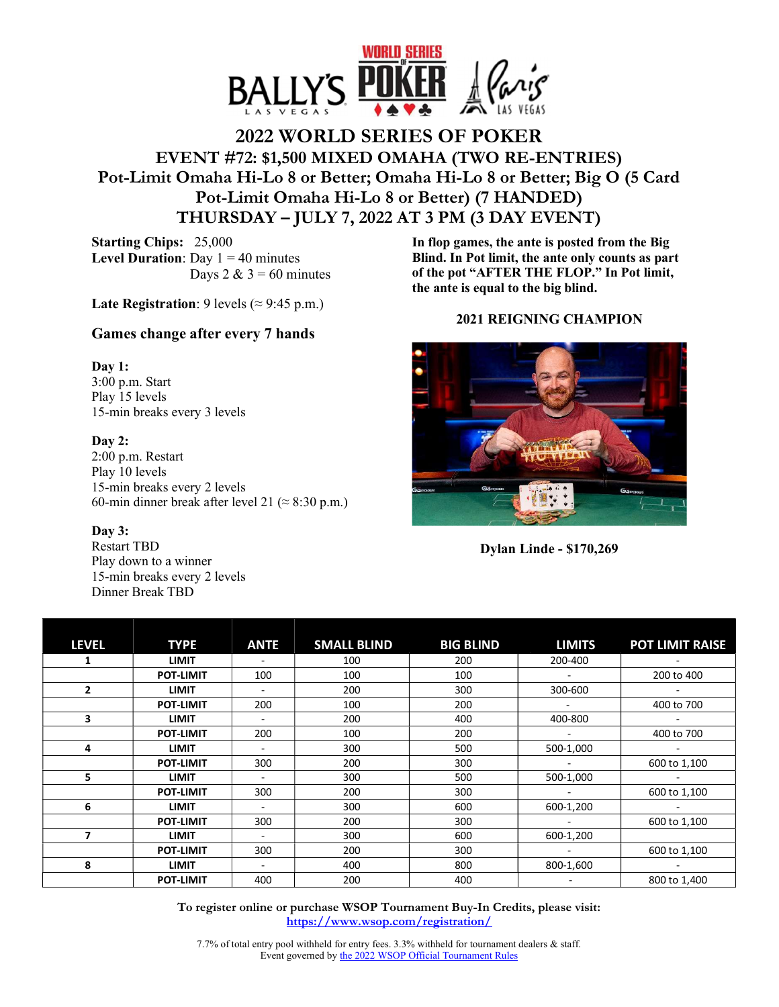

# **2022 WORLD SERIES OF POKER EVENT #72: \$1,500 MIXED OMAHA (TWO RE-ENTRIES) Pot-Limit Omaha Hi-Lo 8 or Better; Omaha Hi-Lo 8 or Better; Big O (5 Card Pot-Limit Omaha Hi-Lo 8 or Better) (7 HANDED) THURSDAY – JULY 7, 2022 AT 3 PM (3 DAY EVENT)**

**Starting Chips:** 25,000 **Level Duration**: Day  $1 = 40$  minutes Days  $2 \& 3 = 60$  minutes

**Late Registration**: 9 levels ( $\approx$  9:45 p.m.)

## **Games change after every 7 hands**

#### **Day 1:**

3:00 p.m. Start Play 15 levels 15-min breaks every 3 levels

## **Day 2:**

2:00 p.m. Restart Play 10 levels 15-min breaks every 2 levels 60-min dinner break after level 21 ( $\approx$  8:30 p.m.)

#### **Day 3:**

Restart TBD Play down to a winner 15-min breaks every 2 levels Dinner Break TBD

**In flop games, the ante is posted from the Big Blind. In Pot limit, the ante only counts as part of the pot "AFTER THE FLOP." In Pot limit, the ante is equal to the big blind.** 

## **2021 REIGNING CHAMPION**



**Dylan Linde - \$170,269** 

| <b>LEVEL</b>   | <b>TYPE</b>      | <b>ANTE</b> | <b>SMALL BLIND</b> | <b>BIG BLIND</b> | <b>LIMITS</b> | <b>POT LIMIT RAISE</b> |
|----------------|------------------|-------------|--------------------|------------------|---------------|------------------------|
| 1              | <b>LIMIT</b>     |             | 100                | 200              | 200-400       |                        |
|                | <b>POT-LIMIT</b> | 100         | 100                | 100              |               | 200 to 400             |
| $\overline{2}$ | <b>LIMIT</b>     |             | 200                | 300              | 300-600       |                        |
|                | <b>POT-LIMIT</b> | 200         | 100                | 200              |               | 400 to 700             |
| 3              | <b>LIMIT</b>     |             | 200                | 400              | 400-800       |                        |
|                | <b>POT-LIMIT</b> | 200         | 100                | 200              |               | 400 to 700             |
| 4              | <b>LIMIT</b>     |             | 300                | 500              | 500-1,000     |                        |
|                | <b>POT-LIMIT</b> | 300         | 200                | 300              |               | 600 to 1,100           |
| 5              | <b>LIMIT</b>     |             | 300                | 500              | 500-1,000     |                        |
|                | <b>POT-LIMIT</b> | 300         | 200                | 300              |               | 600 to 1,100           |
| 6              | <b>LIMIT</b>     |             | 300                | 600              | 600-1,200     |                        |
|                | <b>POT-LIMIT</b> | 300         | 200                | 300              |               | 600 to 1,100           |
| 7              | <b>LIMIT</b>     |             | 300                | 600              | 600-1,200     |                        |
|                | <b>POT-LIMIT</b> | 300         | 200                | 300              |               | 600 to 1,100           |
| 8              | <b>LIMIT</b>     |             | 400                | 800              | 800-1,600     |                        |
|                | <b>POT-LIMIT</b> | 400         | 200                | 400              |               | 800 to 1,400           |

**To register online or purchase WSOP Tournament Buy-In Credits, please visit: https://www.wsop.com/registration/**

7.7% of total entry pool withheld for entry fees. 3.3% withheld for tournament dealers & staff. Event governed by the 2022 WSOP Official Tournament Rules